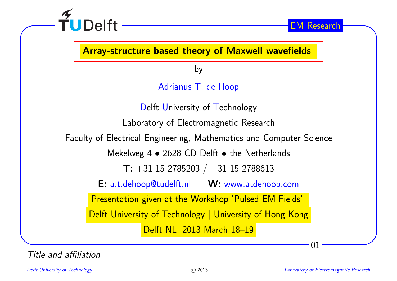

Array-structure based theory of Maxwell wavefields

by

Adrianus T. de Hoop

Delft University of Technology Laboratory of Electromagnetic Research Faculty of Electrical Engineering, Mathematics and Computer Science Mekelweg 4  $\bullet$  2628 CD Delft  $\bullet$  the Netherlands  $\mathsf{T:}\ + 31\ 15\ 2785203\ /\ + 31\ 15\ 2788613$ E: a.t.dehoop@tudelft.nl W: www.atdehoop.com Presentation <sup>g</sup>iven at the Workshop 'Pulsed EM Fields' Delft University of Technology | University of Hong Kong Delft NL, <sup>2013</sup> March 18–19

Title and affiliation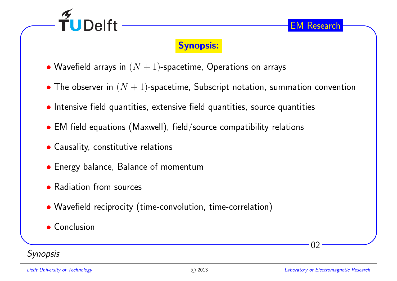

### Synopsis:

- $\bullet$  Wavefield arrays in  $(N+1)$ -spacetime, Operations on arrays
- $\bullet$  The observer in  $(N+1)$ -spacetime, Subscript notation, summation convention
- Intensive field quantities, extensive field quantities, source quantities
- $\bullet$  EM field equations (Maxwell), field/source compatibility relations
- Causality, constitutive relations
- Energy balance, Balance of momentum
- Radiation from sources
- Wavefield reciprocity (time-convolution, time-correlation)
- Conclusion

### **Synopsis**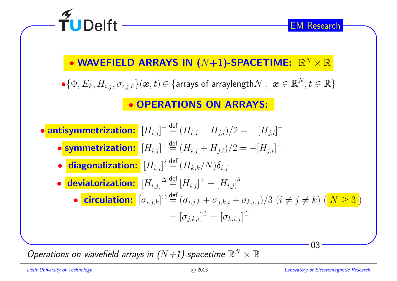

Operations on wavefield arrays in  $(N\!+\!1)$ -spacetime  $\mathbb{R}^N\times\mathbb{R}$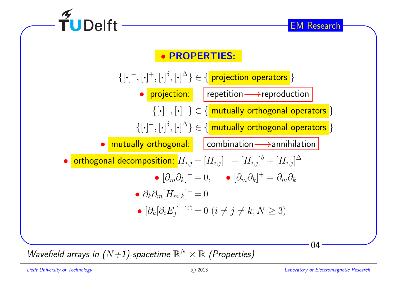

Wavefield arrays in  $(N+1)$ -spacetime  $\mathbb{R}^N\times\mathbb{R}$  (Properties)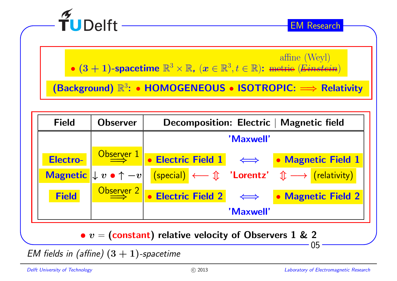

affine (Weyl)

•  $(3 + 1)$ -spacetime  $\mathbb{R}^3 \times \mathbb{R}$ ,  $(x \in \mathbb{R}^3, t \in \mathbb{R})$ : metric  $(Einstein)$ 

 $\overline{R^3}$ : • HOMOGENEOUS • ISOTROPIC:  $\implies$  Relativity



EM fields in (affine)  $(3 + 1)$ -spacetime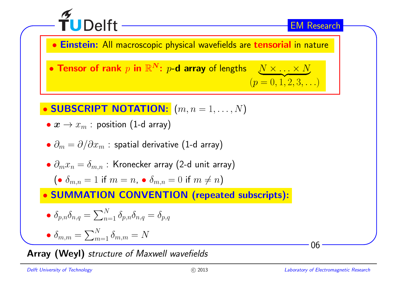

 $\bullet$ Einstein: All macroscopic <sup>p</sup>hysical wavefields are tensorial in nature

 $\bullet$  Tensor of rank  $p$  in  $\mathbb{R}^N \colon p\text{-}\mathbf{d}$  array of lengths  $\_\_\_N \times \_\_\_N \times N$  $(p = 0, 1, 2, 3, ...)$ 

• SUBSCRIPT NOTATION: 
$$
(m, n = 1, \ldots, N)
$$

- $\bullet$   $\boldsymbol{x} \rightarrow x_m$  : position (1-d array)
- $\bullet$   $\partial_m = \partial / \partial x_m$  : spatial derivative (1-d array)
- $\bullet$   $\partial_mx_n=\delta_{m,n}$  : Kronecker array (2-d unit array)

$$
(\bullet \ \delta _{m,n}=1 \text{ if } m=n, \ \bullet \ \delta _{m,n}=0 \text{ if } m\neq n)
$$

• SUMMATION CONVENTION (repeated subscripts):

$$
\bullet \delta_{p,n}\delta_{n,q} = \sum_{n=1}^{N} \delta_{p,n}\delta_{n,q} = \delta_{p,q}
$$

$$
\bullet \delta_{m,m} = \sum_{m=1}^{N} \delta_{m,m} = N
$$

Array (Weyl) structure of Maxwell wavefields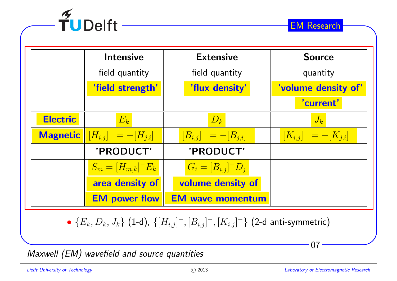

|                 | <b>Intensive</b>             | <b>Extensive</b>             | <b>Source</b>                |
|-----------------|------------------------------|------------------------------|------------------------------|
|                 | field quantity               | field quantity               | quantity                     |
|                 | 'field strength'             | 'flux density'               | 'volume density of'          |
|                 |                              |                              | 'current'                    |
| <b>Electric</b> | $E_k$                        | $D_k$                        | $J_k$                        |
| <b>Magnetic</b> | $[H_{i,j}]^- = -[H_{j,i}]^-$ | $[B_{i,j}]^- = -[B_{j,i}]^-$ | $[K_{i,j}]^- = -[K_{j,i}]^-$ |
|                 | 'PRODUCT'                    | 'PRODUCT'                    |                              |
|                 | $S_m = [H_{m,k}]^{-} E_k$    | $G_i = [B_{i,j}]^{-}D_i$     |                              |
|                 | area density of              | volume density of            |                              |
|                 | <b>EM</b> power flow         | <b>EM wave momentum</b>      |                              |

•  $\{E_k, D_k, J_k\}$  (1-d),  $\{[H_{i,j}]^-,[B_{i,j}]^-,[K_{i,j}]^-\}$  (2-d anti-symmetric)

Maxwell (EM) wavefield and source quantities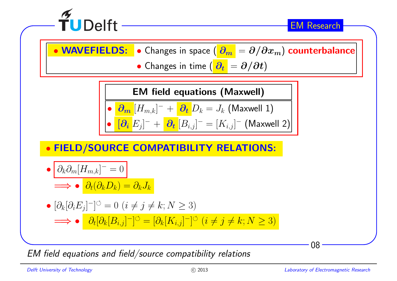

 $\bullet$ • WAVEFIELDS: • Changes in space  $\left(\frac{\partial_m}{\partial n}\right) = \partial/\partial x_m$ ) counterbalance

 $\bullet$  Changes in time  $(\left|\partial_t\right|=\partial/\partial t)$ 

EM field equations (Maxwell)

$$
\bullet \ \boxed{\partial_m \left[H_{m,k}\right]^- + \boxed{\partial_t D_k = J_k \text{ (Maxwell 1)}}
$$

$$
\bullet \left[ \partial_i E_j \right]^- + \left[ \partial_t [B_{i,j}]^- = [K_{i,j}]^- \right] \text{ (Maxwell 2)}
$$

# • FIELD/SOURCE COMPATIBILITY RELATIONS:

$$
\bullet \left[ \partial_k \partial_m [H_{m,k}]^- = 0 \right]
$$

$$
\implies \bullet \bigg(\partial_t (\partial_k D_k) = \partial_k J_k
$$

$$
\begin{aligned}\n\bullet \left[ \partial_k [\partial_i E_j]^{-} \right]^{ \circlearrowleft} &= 0 \ (i \neq j \neq k; N \geq 3) \\
\implies \bullet \quad \frac{\partial_t [\partial_k [B_{i,j}]^{-} ]^{ \circlearrowleft} }{ \partial_t [B_{k,j}]^{-} ]^{ \circlearrowleft} } &= \left[ \partial_k [K_{i,j}]^{-} \right]^{ \circlearrowleft} (i \neq j \neq k; N \geq 3)\n\end{aligned}
$$

EM field equations and field/source compatibility relations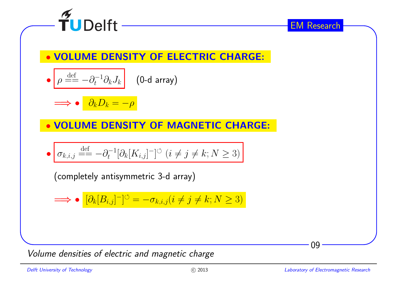

 $\bullet$ VOLUME DENSITY OF ELECTRIC CHARGE:

$$
\bullet \left[ \rho \stackrel{\text{def}}{=} -\partial_t^{-1} \partial_k J_k \right] \quad \text{(0-d array)}
$$

=⇒ $\partial_k D_k = -\rho$ 

 $\bullet$ VOLUME DENSITY OF MAGNETIC CHARGE:

$$
\bullet \boxed{\sigma_{k,i,j} \stackrel{\text{def}}{=} -\partial_t^{-1} [\partial_k [K_{i,j}]^-]^{\circ} \ (i \neq j \neq k; N \geq 3)}
$$

(completely antisymmetric 3-d array)

$$
\implies \bullet \left[ \partial_k [B_{i,j}]^- \right]^\circlearrowleft = -\sigma_{k,i,j} (i \neq j \neq k; N \geq 3)
$$

Volume densities of electric and magnetic charge

09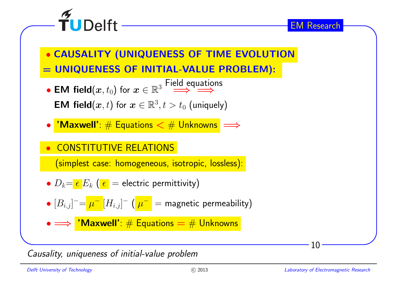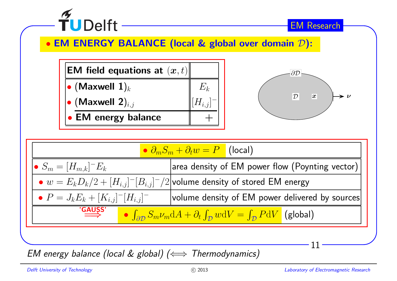

EM energy balance (local & global) (⇔ Thermodynamics)<br>————————————————————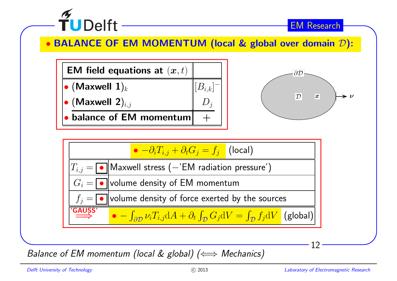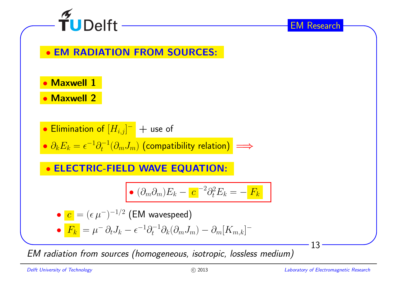

### $\bullet$ EM RADIATION FROM SOURCES:

 $\bullet$ Maxwell <sup>1</sup>

 $\bullet$ Maxwell <sup>2</sup>

• Elimination of 
$$
[H_{i,j}]^-
$$
 + use of

 $\bullet$   $\partial_k E_k = \epsilon^{-1} \partial_t^{-1} (\partial_m J_m)$  (compatibility relation)  $\implies$ 

#### $\bullet$ ELECTRIC-FIELD WAVE EQUATION:

$$
\bullet \ (\partial_m \partial_m) E_k - c^{-2} \partial_t^2 E_k = - F_k
$$

• 
$$
c = (\epsilon \mu^{-})^{-1/2}
$$
 (EM wavespeed)

$$
\bullet \boxed{F_k} = \mu^- \partial_t J_k - \epsilon^{-1} \partial_t^{-1} \partial_k (\partial_m J_m) - \partial_m [K_{m,k}]^-
$$

EM radiation from sources (homogeneous, isotropic, lossless medium)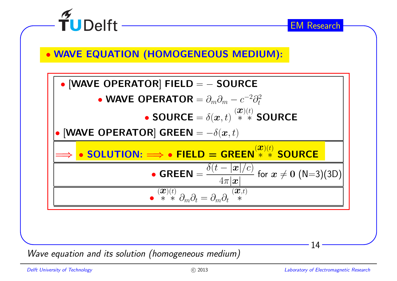

Wave equation and its solution (homogeneous medium)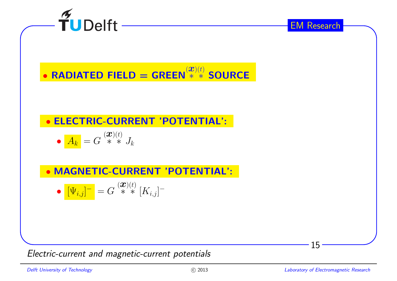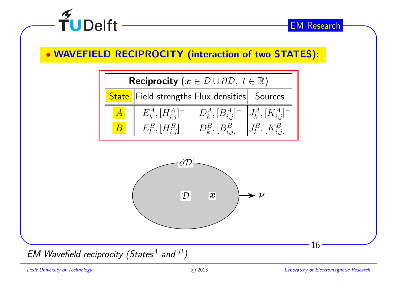

## • WAVEFIELD RECIPROCITY (interaction of two STATES):





EM Wavefield reciprocity (States<sup>A</sup> and <sup>B</sup>)

16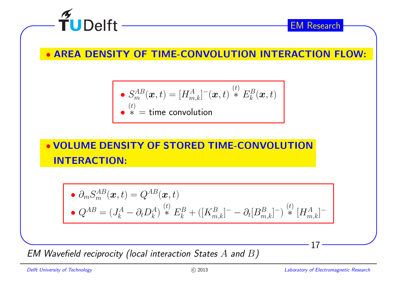

 $\bullet$ AREA DENSITY OF TIME-CONVOLUTION INTERACTION FLOW:

\n- $$
S_m^{AB}(\boldsymbol{x},t) = [H_{m,k}^A]^{-}(\boldsymbol{x},t) \stackrel{(t)}{*} E_k^B(\boldsymbol{x},t)
$$
\n- $\stackrel{(t)}{*} =$  time convolution
\n

• VOLUME DENSITY OF STORED TIME-CONVOLUTIONINTERACTION:

• 
$$
\partial_m S_m^{AB}(\boldsymbol{x}, t) = Q^{AB}(\boldsymbol{x}, t)
$$
  
\n•  $Q^{AB} = (J_k^A - \partial_t D_k^A)^{\binom{t}{k}} E_k^B + ([K_{m,k}^B]^- - \partial_t [B_{m,k}^B]^-)^{\binom{t}{k}} [H_{m,k}^A]^-$ 

 $\emph{\textbf{EM} }$  Wavefield reciprocity (local interaction States  $A$  and  $B)$ 

 $\bullet$ 

17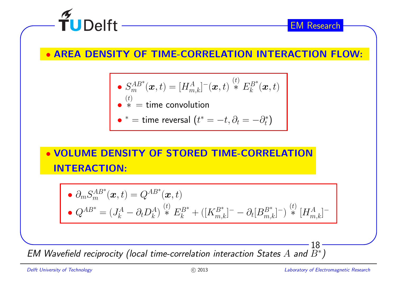

### $\bullet$ AREA DENSITY OF TIME-CORRELATION INTERACTION FLOW:

• 
$$
S_m^{AB^*}(\boldsymbol{x},t) = [H_{m,k}^A]^{-}(\boldsymbol{x},t) \stackrel{(t)}{*} E_k^{B^*}(\boldsymbol{x},t)
$$
  
• 
$$
\stackrel{(t)}{*} = \text{time convolution}
$$

• \* = time reversal 
$$
(t^* = -t, \partial_t = -\partial_t^*)
$$

## • VOLUME DENSITY OF STORED TIME-CORRELATIONINTERACTION:

• 
$$
\partial_m S_m^{AB*}(\boldsymbol{x}, t) = Q^{AB*}(\boldsymbol{x}, t)
$$
  
\n•  $Q^{AB*} = (J_k^A - \partial_t D_k^A)^{\binom{t}{k}} * E_k^{B*} + ([K_{m,k}^{B*}]^- - \partial_t [B_{m,k}^{B*}]^-)^{\binom{t}{k}} [H_{m,k}^A]^-$ 

 $\pmb{E}$ M Wavefield reciprocity (local time-correlation interaction States  $A$  and  $B^*$ )

18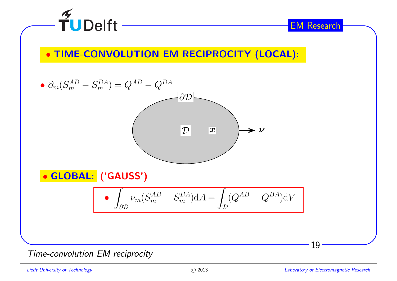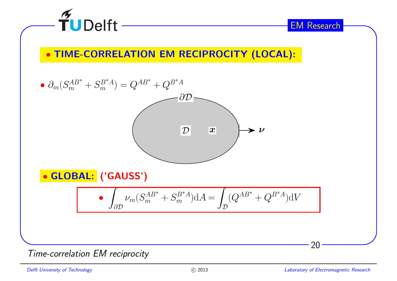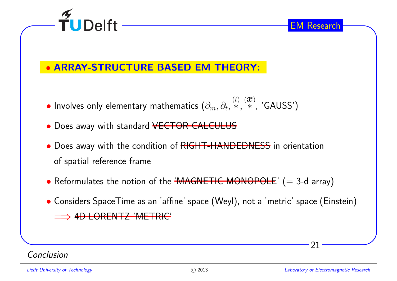

### $\bullet$ ARRAY-STRUCTURE BASED EM THEORY:

- • $\bullet$  Involves only elementary mathematics  $(\partial_m, \partial_t, \overset{(t)}{*}, \overset{(\mathcal{X})}{*}, \text{'GAUSS'})$
- $\bullet$  Does away with standard <del>VECTOR CALCULUS</del>
- Does away with the condition of RIGHT-HANDEDNESS in orientation of spatial reference frame
- $\bullet$  Reformulates the notion of the <del>'MAGNETIC MONOPOLE</del>'  $(=$  3-d array)
- Considers SpaceTime as an 'affine' space (Weyl), not <sup>a</sup> 'metric' space (Einstein) =⇒4D LORENTZ 'METRIC'

Conclusion

21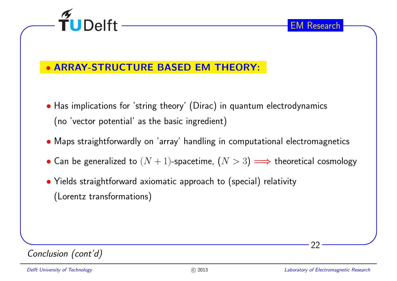



### $\bullet$ ARRAY-STRUCTURE BASED EM THEORY:

- Has implications for 'string theory' (Dirac) in quantum electrodynamics (no 'vector potential' as the basic ingredient)
- Maps straightforwardly on 'array' handling in computational electromagnetics
- Can be generalized to  $(N + 1)$ -spacetime,  $(N > 3) \Longrightarrow$  theoretical cosmology
- Yields straightforward axiomatic approac<sup>h</sup> to (special) relativity (Lorentz transformations)